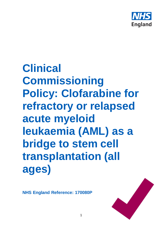

# **Clinical Commissioning Policy: Clofarabine for refractory or relapsed acute myeloid leukaemia (AML) as a bridge to stem cell transplantation (all ages)**

1

**NHS England Reference: 170080P**

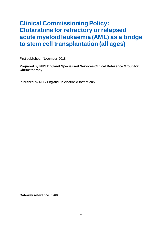# **Clinical Commissioning Policy: Clofarabine for refractory or relapsed acute myeloid leukaemia (AML) as a bridge to stem cell transplantation (all ages)**

First published: November 2018

## **Prepared by NHS England Specialised Services Clinical Reference Group for Chemotherapy**

Published by NHS England, in electronic format only.

**Gateway reference: 07603**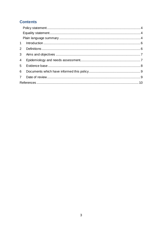# **Contents**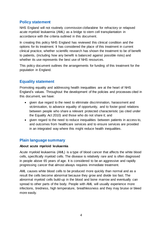## <span id="page-3-0"></span>**Policy statement**

NHS England will not routinely commission clofarabine for refractory or relapsed acute myeloid leukaemia (AML) as a bridge to stem cell transplantation in accordance with the criteria outlined in this document.

In creating this policy NHS England has reviewed this clinical condition and the options for its treatment. It has considered the place of this treatment in current clinical practice, whether scientific research has shown the treatment to be of benefit to patients, (including how any benefit is balanced against possible risks) and whether its use represents the best use of NHS resources.

This policy document outlines the arrangements for funding of this treatment for the population in England.

## <span id="page-3-1"></span>**Equality statement**

Promoting equality and addressing health inequalities are at the heart of NHS England's values. Throughout the development of the policies and processes cited in this document, we have:

- given due regard to the need to eliminate discrimination, harassment and victimisation, to advance equality of opportunity, and to foster good relations between people who share a relevant protected characteristic (as cited under the Equality Act 2010) and those who do not share it; and
- given regard to the need to reduce inequalities between patients in access to, and outcomes from healthcare services and to ensure services are provided in an integrated way where this might reduce health inequalities.

## <span id="page-3-2"></span>**Plain language summary**

## **About acute myeloid leukaemia**

Acute myeloid leukaemia (AML) is a type of blood cancer that affects the white blood cells, specifically myeloid cells. The disease is relatively rare and is often diagnosed in people above 65 years of age. It is considered to be an aggressive and rapidly progressing cancer that almost always requires immediate treatment.

AML causes white blood cells to be produced more quickly than normal and as a result the cells become abnormal because they grow and divide too fast. The abnormal myeloid cells build-up in the blood and bone marrow and eventually can spread to other parts of the body. People with AML will usually experience more infections, tiredness, high temperature, breathlessness and they may bruise or bleed more easily.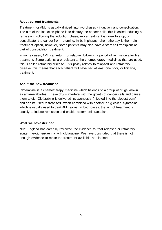#### **About current treatments**

Treatment for AML is usually divided into two phases - induction and consolidation. The aim of the induction phase is to destroy the cancer cells, this is called inducing a remission. Following the induction phase, more treatment is given to stop, or consolidate, the cancer from returning. In both phases, chemotherapy is the main treatment option, however, some patients may also have a stem cell transplant as part of consolidation treatment.

In some cases, AML can return, or relapse, following a period of remission after first treatment. Some patients are resistant to the chemotherapy medicines that are used; this is called refractory disease. This policy relates to relapsed and refractory disease; this means that each patient will have had at least one prior, or first line, treatment.

## **About the new treatment**

Clofarabine is a chemotherapy medicine which belongs to a group of drugs known as anti-metabolites. These drugs interfere with the growth of cancer cells and cause them to die. Clofarabine is delivered intravenously (injected into the bloodstream) and can be used to treat AML when combined with another drug called cytarabine, which is usually used to treat AML alone. In both cases, the aim of treatment is usually to induce remission and enable a stem cell transplant.

#### **What we have decided**

NHS England has carefully reviewed the evidence to treat relapsed or refractory acute myeloid leukaemia with clofarabine. We have concluded that there is not enough evidence to make the treatment available at this time.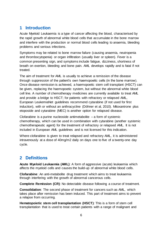# <span id="page-5-0"></span>**1 Introduction**

Acute Myeloid Leukaemia is a type of cancer affecting the blood, characterised by the rapid growth of abnormal white blood cells that accumulate in the bone marrow and interfere with the production or normal blood cells leading to anaemia, bleeding problems and serious infections.

Symptoms may be related to bone marrow failure (causing anaemia, neutropenia and thrombocytopenia) or organ infiltration (usually liver or spleen). Fever is a common presenting sign, and symptoms include fatigue, dizziness, shortness of breath on exertion, bleeding and bone pain. AML develops rapidly and is fatal if not treated.

The aim of treatment for AML is usually to achieve a remission of the disease through suppression of the patient's own haemopoetic cells (in the bone marrow). Once disease remission is achieved, a haemopoetic stem cell transplant (HSCT) can be given, replacing the haemopoetic system, but without the abnormal white blood cell line. A number of chemotherapy medicines are currently available to treat AML and provide a bridge to HSCT; for patients with refractory or relapsed AML, European LeukemiaNet guidelines recommend cytarabine (if not used for first induction), with or without an anthracycline (Döhner et al, 2010). Mitoxantrone plus etoposide and cytarabine (MEC) is another option for relapsed disease.

Clofarabine is a purine nucleoside antimetabolite  $-$  a form of systemic chemotherapy, which can be used in combination with cytarabine (another systemic chemotherapeutic agent) for the treatment of refractory or relapsed AML. It is not included in European AML guidelines and is not licensed for this indication.

Where clofarabine is given to treat relapsed and refractory AML, it is administered intravenously at a dose of 40mg/m2 daily on days one to five of a twenty-one day cycle.

# <span id="page-5-1"></span>**2 Definitions**

**Acute Myeloid Leukaemia (AML)**: A form of aggressive (acute) leukaemia which affects the myeloid cells and causes the build-up of abnormal white blood cells.

**Clofarabine**: An anti-metabolite drug treatment which aims to treat leukaemia through interfering with the growth of abnormal cancerous cells.

**Complete Remission (CR)**: No detectable disease following a course of treatment.

**Consolidation**: The second phase of treatment for cancers such as AML, which takes place after remission has been induced. This part of treatment aims to prevent a relapse from occurring.

**Hematopoietic stem cell transplantation (HSCT)**: This is a form of stem cell transplantation that is used to treat certain patients with a range of malignant and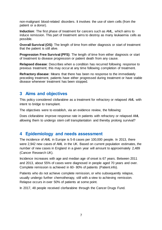non-malignant blood-related disorders. It involves the use of stem cells (from the patient or a donor).

**Induction**: The first phase of treatment for cancers such as AML, which aims to induce remission. This part of treatment aims to destroy as many leukaemia cells as possible.

**Overall Survival (OS):** The length of time from either diagnosis or start of treatment that the patient is still alive.

**Progression Free Survival (PFS)**: The length of time from either diagnosis or start of treatment to disease progression or patient death from any cause.

**Relapsed disease**: Describes when a condition has recurred following response to previous treatment; this may occur at any time following completion of treatment.

**Refractory disease**: Means that there has been no response to the immediately preceding treatment, patients have either progressed during treatment or have stable disease whenever treatment has been stopped.

# <span id="page-6-0"></span>**3 Aims and objectives**

This policy considered clofarabine as a treatment for refractory or relapsed AML with intent to bridge to transplant.

The objectives were to establish, via an evidence review, the following:

Does clofarabine improve response rate in patients with refractory or relapsed AML allowing them to undergo stem cell transplantation and thereby prolong survival?

## <span id="page-6-1"></span>**4 Epidemiology and needs assessment**

The incidence of AML in Europe is 5-8 cases per 100,000 people. In 2013, there were 2,942 new cases of AML in the UK. Based on current population estimates, the number of new cases in England in a given year will amount to approximately 2,489 (Cancer Research UK).

Incidence increases with age and median age of onset is 67 years. Between 2011 and 2013, about 55% of cases were diagnosed in people aged 70 years and over. Complete remission is achieved in 60- 80% of patients (Patient.info).

Patients who do not achieve complete remission, or who subsequently relapse, usually undergo further chemotherapy, still with a view to achieving remission. Relapse occurs in over 50% of patients at some point.

In 2017, 48 people received clorfarabine through the Cancer Drugs Fund.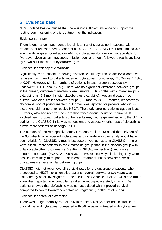# <span id="page-7-0"></span>**5 Evidence base**

NHS England has concluded that there is not sufficient evidence to support the routine commissioning of this treatment for the indication.

### Evidence summary

There is one randomised, controlled clinical trial of clofarabine in patients with refractory or relapsed AML (Faderl et al 2012). The CLASSIC I trial randomised 326 adults with relapsed or refractory AML to clofarabine 40mg/m<sup>2</sup> or placebo daily for five days, given as an intravenous infusion over one hour, followed three hours later by a two-hour infusion of cytarabine 1g/m2.

## Evidence for efficacy of clofarabine

Significantly more patients receiving clofarabine plus cytarabine achieved complete remission compared to patients receiving cytarabine monotherapy (35.2% vs. 17.8%; p<0.01). However, similar numbers of patients in each group subsequently underwent HSCT (about 20%). There was no significant difference between groups in the primary outcome of median overall survival (6.6 months with clofarabine plus cytarabine vs. 6.3 months with placebo plus cytarabine). Median disease-free survival was also similar between groups (8.1 months vs. 7.0 months, respectively). No comparison of post-transplant outcomes was reported for patients who did vs. those who did not go onto receive HSCT. The study enrolled patients aged at least 55 years, who had received no more than two previous induction regimens. It involved few European patients so the results may not be generalisable to the UK. In addition, the CLASSIC I trial was not designed to assess whether use of clofarabine allows more patients to undergo HSCT.

The authors of one retrospective study (Roberts et al, 2015) noted that only ten of the 65 patients who received clofarabine and cytarabine in their study would have been eligible for CLASSIC I, mostly because of younger age. In CLASSIC I, there were slightly more patients in the clofarabine group than in the placebo group with unfavourable/other cytogenetics (49.4% vs. 38.6%, respectively) and worse performance status (ECOG 2, 16.0% vs. 11.4%, respectively), indicating they were possibly less likely to respond to or tolerate treatment, but otherwise baseline characteristics were similar between groups.

CLASSIC I did not report overall survival rates for the subgroup of patients who proceeded to HSCT; for all enrolled patients, overall survival at two years was estimated by other investigators to be about 10% (Middeke et al, 2016), a rate much lower than reported in uncontrolled studies. A retrospective study involving 59 patients showed that clofarabine was not associated with improved survival compared to two mitoxantrone-containing regimens (Loeffler et al, 2015).

## Evidence for safety of clofarabine

There was a high mortality rate of 16% in the first 30 days after administration of clofarabine and cytarabine, compared with 5% in patients treated with cytarabine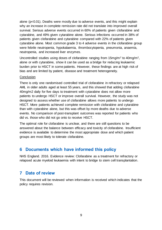alone (p<0.01). Deaths were mostly due to adverse events, and this might explain why an increase in complete remission rate did not translate into improved overall survival. Serious adverse events occurred in 60% of patients given clofarabine and cytarabine, and 49% given cytarabine alone. Serious infections occurred in 38% of patients given clofarabine and cytarabine compared with 22% of patients given cytarabine alone. Most common grade 3 to 4 adverse events in the clofarabine group were febrile neutropenia, hypokalaemia, thrombocytopenia, pneumonia, anaemia, neutropenia, and increased liver enzymes.

Uncontrolled studies using doses of clofarabine ranging from 15mg/m<sup>2</sup> to 40mg/m<sup>2</sup>, alone or with cytarabine, show it can be used as a bridge for reducing leukaemic burden prior to HSCT in some patients. However, these findings are at high risk of bias and are limited by patient, disease and treatment heterogeneity.

#### **Conclusion**

There is only one randomised controlled trial of clofarabine in refractory or relapsed AML in older adults aged at least 55 years, and this showed that adding clofarabine 40mg/m2 daily for five days to treatment with cytarabine does not allow more patients to undergo HSCT or improve overall survival. However, the study was not designed to assess whether use of clofarabine allows more patients to undergo HSCT. More patients achieved complete remission with clofarabine and cytarabine than with cytarabine alone, but this was offset by more deaths due to adverse events. No comparison of post-transplant outcomes was reported for patients who did vs. those who did not go onto to receive HSCT.

The optimal role for clofarabine is unclear, and there are still questions to be answered about the balance between efficacy and toxicity of clofarabine. Insufficient evidence is available to determine the most appropriate dose and which patient groups are most likely to tolerate clofarabine.

# <span id="page-8-0"></span>**6 Documents which have informed this policy**

NHS England. 2016. Evidence review: Clofarabine as a treatment for refractory or relapsed acute myeloid leukaemia with intent to bridge to stem cell transplantation.

# <span id="page-8-1"></span>**7 Date of review**

This document will be reviewed when information is received which indicates that the policy requires revision.